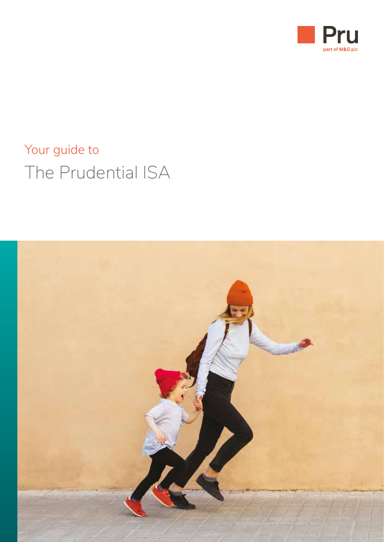

# Your guide to The Prudential ISA

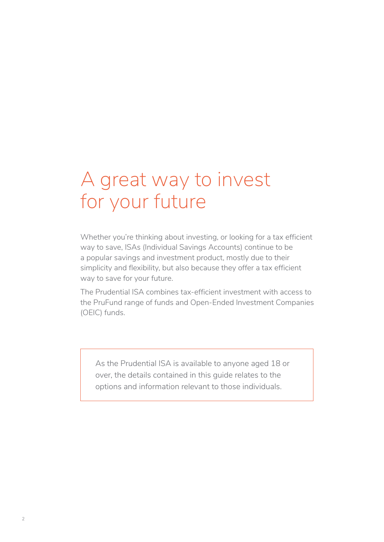# A great way to invest for your future

Whether you're thinking about investing, or looking for a tax efficient way to save, ISAs (Individual Savings Accounts) continue to be a popular savings and investment product, mostly due to their simplicity and flexibility, but also because they offer a tax efficient way to save for your future.

The Prudential ISA combines tax-efficient investment with access to the PruFund range of funds and Open-Ended Investment Companies (OEIC) funds.

As the Prudential ISA is available to anyone aged 18 or over, the details contained in this guide relates to the options and information relevant to those individuals.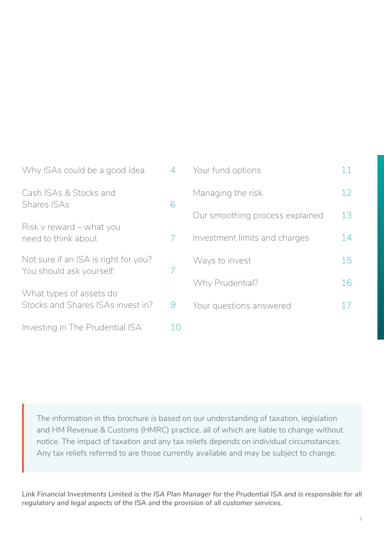| Why ISAs could be a good idea                                    | $\overline{4}$ | Your fund options               |    |
|------------------------------------------------------------------|----------------|---------------------------------|----|
| Cash ISAs & Stocks and                                           |                | Managing the risk               | 12 |
| <b>Shares ISAs</b>                                               | 6              | Our smoothing process explained | 13 |
| Risk v reward – what you<br>need to think about                  |                | Investment limits and charges   | 14 |
| Not sure if an ISA is right for you?<br>You should ask yourself: | 7              | Ways to invest                  | 15 |
|                                                                  |                | Why Prudential?                 | 16 |
| What types of assets do<br>Stocks and Shares ISAs invest in?     | 9              | Your questions answered         |    |
| Investing in The Prudential ISA                                  |                |                                 |    |

The information in this brochure is based on our understanding of taxation, legislation and HM Revenue & Customs (HMRC) practice, all of which are liable to change without notice. The impact of taxation and any tax reliefs depends on individual circumstances. Any tax reliefs referred to are those currently available and may be subject to change.

*Link Financial Investments Limited is the ISA Plan Manager for the Prudential ISA and is responsible for all regulatory and legal aspects of the ISA and the provision of all customer services.*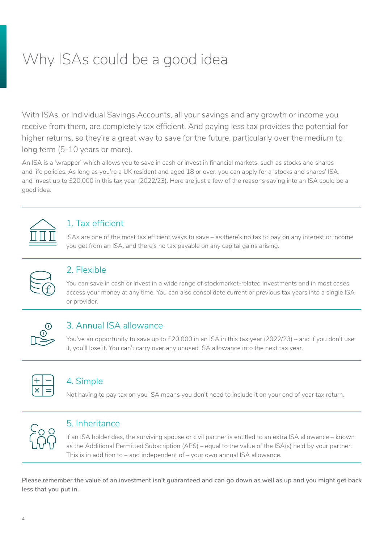# <span id="page-3-0"></span>Why ISAs could be a good idea

With ISAs, or Individual Savings Accounts, all your savings and any growth or income you receive from them, are completely tax efficient. And paying less tax provides the potential for higher returns, so they're a great way to save for the future, particularly over the medium to long term (5-10 years or more).

An ISA is a 'wrapper' which allows you to save in cash or invest in financial markets, such as stocks and shares and life policies. As long as you're a UK resident and aged 18 or over, you can apply for a 'stocks and shares' ISA, and invest up to £20,000 in this tax year (2022/23). Here are just a few of the reasons saving into an ISA could be a good idea.



## 1. Tax efficient

ISAs are one of the most tax efficient ways to save – as there's no tax to pay on any interest or income you get from an ISA, and there's no tax payable on any capital gains arising.



#### 2. Flexible

You can save in cash or invest in a wide range of stockmarket-related investments and in most cases access your money at any time. You can also consolidate current or previous tax years into a single ISA or provider.



## 3. Annual ISA allowance

You've an opportunity to save up to £20,000 in an ISA in this tax year (2022/23) – and if you don't use it, you'll lose it. You can't carry over any unused ISA allowance into the next tax year.

## 4. Simple

Not having to pay tax on you ISA means you don't need to include it on your end of year tax return.



#### 5. Inheritance

If an ISA holder dies, the surviving spouse or civil partner is entitled to an extra ISA allowance – known as the Additional Permitted Subscription (APS) – equal to the value of the ISA(s) held by your partner. This is in addition to – and independent of – your own annual ISA allowance.

**Please remember the value of an investment isn't guaranteed and can go down as well as up and you might get back less that you put in.**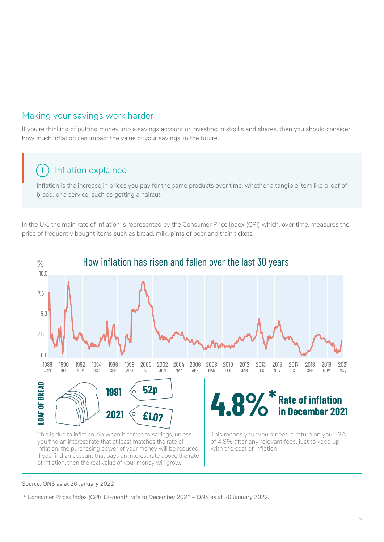### Making your savings work harder

If you're thinking of putting money into a savings account or investing in stocks and shares, then you should consider how much inflation can impact the value of your savings, in the future.

#### Inflation explained  $\mathbf{I}$

Inflation is the increase in prices you pay for the same products over time, whether a tangible item like a loaf of bread, or a service, such as getting a haircut.

In the UK, the main rate of inflation is represented by the Consumer Price Index (CPI) which, over time, measures the price of frequently bought items such as bread, milk, pints of beer and train tickets.



#### *Source: ONS as at 20 January 2022*

 *\* Consumer Prices Index (CPI) 12-month rate to December 2021 – ONS as at 20 January 2022.*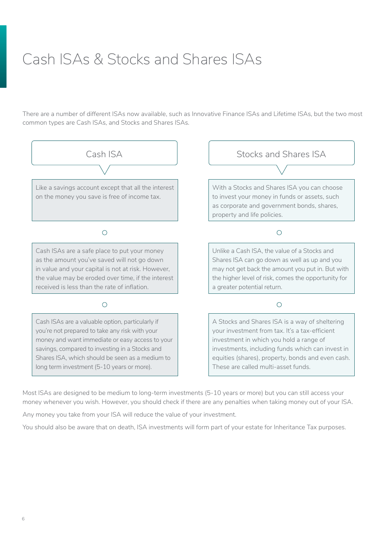# <span id="page-5-0"></span>Cash ISAs & Stocks and Shares ISAs

There are a number of different ISAs now available, such as Innovative Finance ISAs and Lifetime ISAs, but the two most common types are Cash ISAs, and Stocks and Shares ISAs.



Most ISAs are designed to be medium to long-term investments (5-10 years or more) but you can still access your money whenever you wish. However, you should check if there are any penalties when taking money out of your ISA.

Any money you take from your ISA will reduce the value of your investment.

You should also be aware that on death, ISA investments will form part of your estate for Inheritance Tax purposes.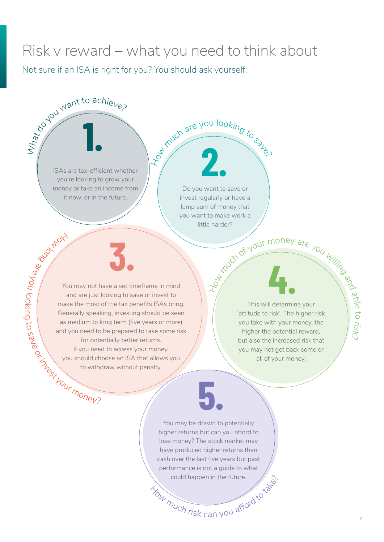# <span id="page-6-0"></span>Risk v reward – what you need to think about

Not sure if an ISA is right for you? You should ask yourself:

ISAs are tax-efficient whether you're looking to grow your money or take an income from it now, or in the future.

What to achieve?

**Holl** 

o<sup>l</sup>  $\textcircled{S}$ 

 $\delta_{\rm e}$ 

you

hookin

g to

save

Do you want to save or invest regularly or have a lump sum of money that you want to make work a little harder?

much are you looking to say

**2. 2.** 

or in you should change you should change to with You may not have a set timeframe in mind and are just looking to save or invest to make the most of the tax benefits ISAs bring. Generally speaking, investing should be seen as medium to long term (five years or more) and you need to be prepared to take some risk for potentially better returns. If you need to access your money, you should choose an ISA that allows you to withdraw without penalty.

**3.**

# Mour money are you willing

**4.** This will determine your 'attitude to risk'. The higher risk you take with your money, the higher the potential reward, but also the increased risk that you may not get back some or all of your money.

could happen in the future.<br>
You much risk can you afford to You may be drawn to potentially higher returns but can you afford to lose money? The stock market may have produced higher returns than cash over the last five years but past performance is not a guide to what

**5.**

a ble

t o r s<sup>i</sup>  $\Im$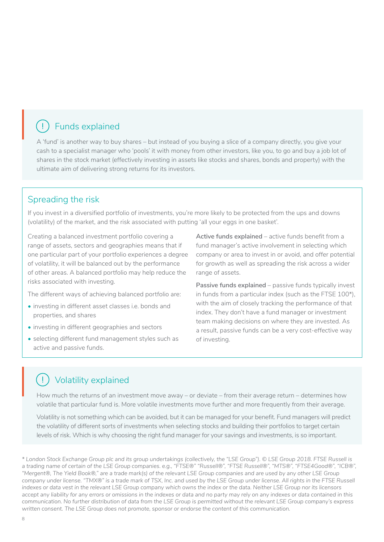#### Funds explained  $\left( \begin{array}{c} 1 \end{array} \right)$

A 'fund' is another way to buy shares – but instead of you buying a slice of a company directly, you give your cash to a specialist manager who 'pools' it with money from other investors, like you, to go and buy a job lot of shares in the stock market (effectively investing in assets like stocks and shares, bonds and property) with the ultimate aim of delivering strong returns for its investors.

#### Spreading the risk

If you invest in a diversified portfolio of investments, you're more likely to be protected from the ups and downs (volatility) of the market, and the risk associated with putting 'all your eggs in one basket'.

Creating a balanced investment portfolio covering a range of assets, sectors and geographies means that if one particular part of your portfolio experiences a degree of volatility, it will be balanced out by the performance of other areas. A balanced portfolio may help reduce the risks associated with investing.

The different ways of achieving balanced portfolio are:

- investing in different asset classes i.e. bonds and properties, and shares
- investing in different geographies and sectors
- selecting different fund management styles such as active and passive funds.

**Active funds explained** – active funds benefit from a fund manager's active involvement in selecting which company or area to invest in or avoid, and offer potential for growth as well as spreading the risk across a wider range of assets.

**Passive funds explained** – passive funds typically invest in funds from a particular index (such as the FTSE 100\*), with the aim of closely tracking the performance of that index. They don't have a fund manager or investment team making decisions on where they are invested. As a result, passive funds can be a very cost-effective way of investing.

#### Volatility explained  $\mathbf{I}$

How much the returns of an investment move away – or deviate – from their average return – determines how volatile that particular fund is. More volatile investments move further and more frequently from their average.

Volatility is not something which can be avoided, but it can be managed for your benefit. Fund managers will predict the volatility of different sorts of investments when selecting stocks and building their portfolios to target certain levels of risk. Which is why choosing the right fund manager for your savings and investments, is so important.

*<sup>\*</sup> London Stock Exchange Group plc and its group undertakings (collectively, the "LSE Group"). © LSE Group 2018. FTSE Russell is a trading name of certain of the LSE Group companies. e.g., "FTSE®" "Russell®", "FTSE Russell®", "MTS®", "FTSE4Good®", "ICB®", "Mergent®, The Yield Book®," are a trade mark(s) of the relevant LSE Group companies and are used by any other LSE Group company under license. "TMX®" is a trade mark of TSX, Inc. and used by the LSE Group under license. All rights in the FTSE Russell indexes or data vest in the relevant LSE Group company which owns the index or the data. Neither LSE Group nor its licensors accept any liability for any errors or omissions in the indexes or data and no party may rely on any indexes or data contained in this communication. No further distribution of data from the LSE Group is permitted without the relevant LSE Group company's express written consent. The LSE Group does not promote, sponsor or endorse the content of this communication.*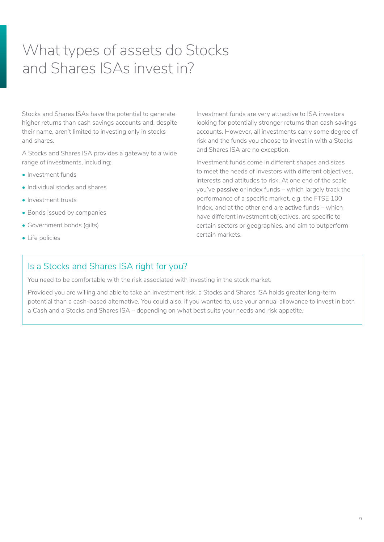# <span id="page-8-0"></span>What types of assets do Stocks and Shares ISAs invest in?

Stocks and Shares ISAs have the potential to generate higher returns than cash savings accounts and, despite their name, aren't limited to investing only in stocks and shares.

A Stocks and Shares ISA provides a gateway to a wide range of investments, including;

- Investment funds
- Individual stocks and shares
- Investment trusts
- Bonds issued by companies
- Government bonds (gilts)
- Life policies

Investment funds are very attractive to ISA investors looking for potentially stronger returns than cash savings accounts. However, all investments carry some degree of risk and the funds you choose to invest in with a Stocks and Shares ISA are no exception.

Investment funds come in different shapes and sizes to meet the needs of investors with different objectives, interests and attitudes to risk. At one end of the scale you've **passive** or index funds – which largely track the performance of a specific market, e.g. the FTSE 100 Index, and at the other end are **active** funds – which have different investment objectives, are specific to certain sectors or geographies, and aim to outperform certain markets.

#### Is a Stocks and Shares ISA right for you?

You need to be comfortable with the risk associated with investing in the stock market.

Provided you are willing and able to take an investment risk, a Stocks and Shares ISA holds greater long-term potential than a cash-based alternative. You could also, if you wanted to, use your annual allowance to invest in both a Cash and a Stocks and Shares ISA – depending on what best suits your needs and risk appetite.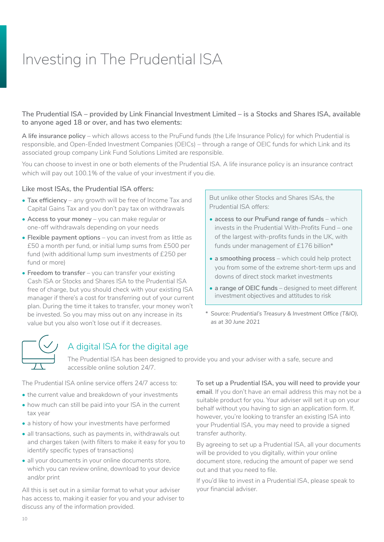# <span id="page-9-0"></span>Investing in The Prudential ISA

#### **The Prudential ISA – provided by Link Financial Investment Limited – is a Stocks and Shares ISA, available to anyone aged 18 or over, and has two elements:**

**A life insurance policy** – which allows access to the PruFund funds (the Life Insurance Policy) for which Prudential is responsible, and Open-Ended Investment Companies (OEICs) – through a range of OEIC funds for which Link and its associated group company Link Fund Solutions Limited are responsible.

You can choose to invest in one or both elements of the Prudential ISA. A life insurance policy is an insurance contract which will pay out 100.1% of the value of your investment if you die.

#### **Like most ISAs, the Prudential ISA offers:**

- **Tax efficiency**  any growth will be free of Income Tax and Capital Gains Tax and you don't pay tax on withdrawals
- **Access to your money** you can make regular or one-off withdrawals depending on your needs
- **Flexible payment options** you can invest from as little as £50 a month per fund, or initial lump sums from £500 per fund (with additional lump sum investments of £250 per fund or more)
- **Freedom to transfer** you can transfer your existing Cash ISA or Stocks and Shares ISA to the Prudential ISA free of charge, but you should check with your existing ISA manager if there's a cost for transferring out of your current plan. During the time it takes to transfer, your money won't be invested. So you may miss out on any increase in its value but you also won't lose out if it decreases.

But unlike other Stocks and Shares ISAs, the Prudential ISA offers:

- **access to our PruFund range of funds** which invests in the Prudential With-Profits Fund – one of the largest with-profits funds in the UK, with funds under management of £176 billion\*
- **a smoothing process** which could help protect you from some of the extreme short-term ups and downs of direct stock market investments
- **a range of OEIC funds** designed to meet different investment objectives and attitudes to risk
- *\* Source: Prudential's Treasury & Investment Office (T&IO), as at 30 June 2021*



# A digital ISA for the digital age

The Prudential ISA has been designed to provide you and your adviser with a safe, secure and accessible online solution 24/7.

The Prudential ISA online service offers 24/7 access to:

- the current value and breakdown of your investments
- how much can still be paid into your ISA in the current tax year
- a history of how your investments have performed
- all transactions, such as payments in, withdrawals out and charges taken (with filters to make it easy for you to identify specific types of transactions)
- all your documents in your online documents store, which you can review online, download to your device and/or print

All this is set out in a similar format to what your adviser has access to, making it easier for you and your adviser to discuss any of the information provided.

**To set up a Prudential ISA, you will need to provide your email**. If you don't have an email address this may not be a suitable product for you. Your adviser will set it up on your behalf without you having to sign an application form. If, however, you're looking to transfer an existing ISA into your Prudential ISA, you may need to provide a signed transfer authority.

By agreeing to set up a Prudential ISA, all your documents will be provided to you digitally, within your online document store, reducing the amount of paper we send out and that you need to file.

If you'd like to invest in a Prudential ISA, please speak to your financial adviser.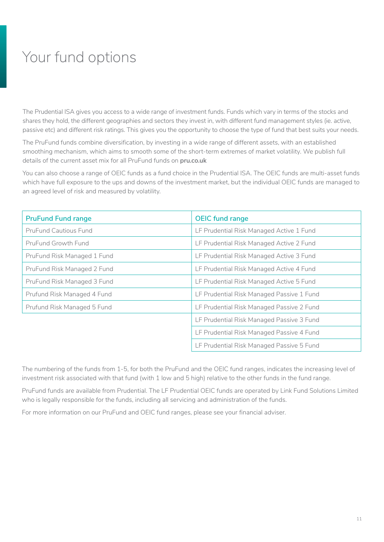# <span id="page-10-0"></span>Your fund options

The Prudential ISA gives you access to a wide range of investment funds. Funds which vary in terms of the stocks and shares they hold, the different geographies and sectors they invest in, with different fund management styles (ie. active, passive etc) and different risk ratings. This gives you the opportunity to choose the type of fund that best suits your needs.

The PruFund funds combine diversification, by investing in a wide range of different assets, with an established smoothing mechanism, which aims to smooth some of the short-term extremes of market volatility. We publish full details of the current asset mix for all PruFund funds on **[pru.co.uk](http://www.pru.co.uk)**

You can also choose a range of OEIC funds as a fund choice in the Prudential ISA. The OEIC funds are multi-asset funds which have full exposure to the ups and downs of the investment market, but the individual OEIC funds are managed to an agreed level of risk and measured by volatility.

| <b>PruFund Fund range</b>   | <b>OEIC fund range</b>                    |
|-----------------------------|-------------------------------------------|
| PruFund Cautious Fund       | LF Prudential Risk Managed Active 1 Fund  |
| PruFund Growth Fund         | LF Prudential Risk Managed Active 2 Fund  |
| PruFund Risk Managed 1 Fund | LF Prudential Risk Managed Active 3 Fund  |
| PruFund Risk Managed 2 Fund | LF Prudential Risk Managed Active 4 Fund  |
| PruFund Risk Managed 3 Fund | LF Prudential Risk Managed Active 5 Fund  |
| Prufund Risk Managed 4 Fund | LF Prudential Risk Managed Passive 1 Fund |
| Prufund Risk Managed 5 Fund | LF Prudential Risk Managed Passive 2 Fund |
|                             | LF Prudential Risk Managed Passive 3 Fund |
|                             | LF Prudential Risk Managed Passive 4 Fund |
|                             | LF Prudential Risk Managed Passive 5 Fund |

The numbering of the funds from 1-5, for both the PruFund and the OEIC fund ranges, indicates the increasing level of investment risk associated with that fund (with 1 low and 5 high) relative to the other funds in the fund range.

PruFund funds are available from Prudential. The LF Prudential OEIC funds are operated by Link Fund Solutions Limited who is legally responsible for the funds, including all servicing and administration of the funds.

For more information on our PruFund and OEIC fund ranges, please see your financial adviser.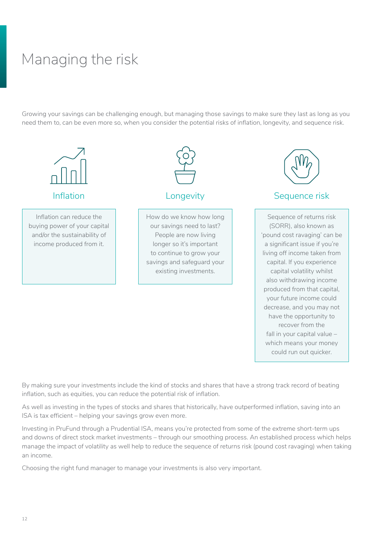# <span id="page-11-0"></span>Managing the risk

Growing your savings can be challenging enough, but managing those savings to make sure they last as long as you need them to, can be even more so, when you consider the potential risks of inflation, longevity, and sequence risk.



By making sure your investments include the kind of stocks and shares that have a strong track record of beating inflation, such as equities, you can reduce the potential risk of inflation.

decrease, and you may not have the opportunity to recover from the fall in your capital value – which means your money could run out quicker.

As well as investing in the types of stocks and shares that historically, have outperformed inflation, saving into an ISA is tax efficient – helping your savings grow even more.

Investing in PruFund through a Prudential ISA, means you're protected from some of the extreme short-term ups and downs of direct stock market investments – through our smoothing process. An established process which helps manage the impact of volatility as well help to reduce the sequence of returns risk (pound cost ravaging) when taking an income.

Choosing the right fund manager to manage your investments is also very important.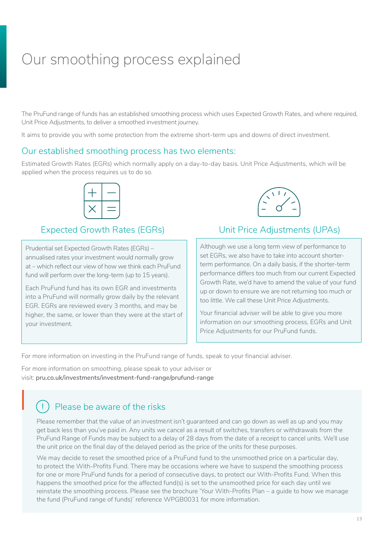# <span id="page-12-0"></span>Our smoothing process explained

The PruFund range of funds has an established smoothing process which uses Expected Growth Rates, and where required, Unit Price Adjustments, to deliver a smoothed investment journey.

It aims to provide you with some protection from the extreme short-term ups and downs of direct investment.

#### Our established smoothing process has two elements:

Estimated Growth Rates (EGRs) which normally apply on a day-to-day basis. Unit Price Adjustments, which will be applied when the process requires us to do so.



#### Expected Growth Rates (EGRs) Unit Price Adjustments (UPAs)

Prudential set Expected Growth Rates (EGRs) – annualised rates your investment would normally grow at – which reflect our view of how we think each PruFund fund will perform over the long-term (up to 15 years).

Each PruFund fund has its own EGR and investments into a PruFund will normally grow daily by the relevant EGR. EGRs are reviewed every 3 months, and may be higher, the same, or lower than they were at the start of your investment.



Although we use a long term view of performance to set EGRs, we also have to take into account shorterterm performance. On a daily basis, if the shorter-term performance differs too much from our current Expected Growth Rate, we'd have to amend the value of your fund up or down to ensure we are not returning too much or too little. We call these Unit Price Adjustments.

Your financial adviser will be able to give you more information on our smoothing process, EGRs and Unit Price Adjustments for our PruFund funds.

For more information on investing in the PruFund range of funds, speak to your financial adviser.

For more information on smoothing, please speak to your adviser or visit: **[pru.co.uk/investments/investment-fund-range/prufund-range](https://www.pru.co.uk/investments/investment-fund-range/prufund-range)**

# Please be aware of the risks  $\bigcap$  Ple

Please remember that the value of an investment isn't guaranteed and can go down as well as up and you may get back less than you've paid in. Any units we cancel as a result of switches, transfers or withdrawals from the PruFund Range of Funds may be subject to a delay of 28 days from the date of a receipt to cancel units. We'll use the unit price on the final day of the delayed period as the price of the units for these purposes.

We may decide to reset the smoothed price of a PruFund fund to the unsmoothed price on a particular day, to protect the With-Profits Fund. There may be occasions where we have to suspend the smoothing process for one or more PruFund funds for a period of consecutive days, to protect our With-Profits Fund. When this happens the smoothed price for the affected fund(s) is set to the unsmoothed price for each day until we reinstate the smoothing process. Please see the brochure 'Your With-Profits Plan – a guide to how we manage the fund (PruFund range of funds)' reference WPGB0031 for more information.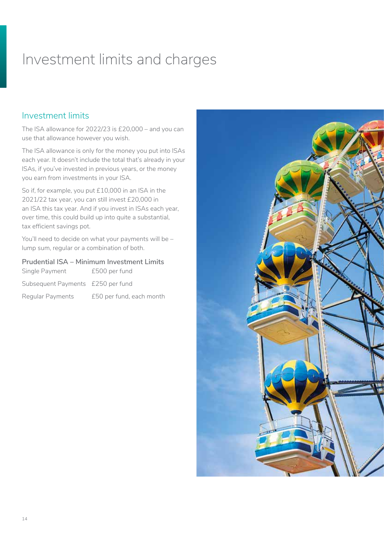# <span id="page-13-0"></span>Investment limits and charges

#### Investment limits

The ISA allowance for 2022/23 is £20,000 – and you can use that allowance however you wish.

The ISA allowance is only for the money you put into ISAs each year. It doesn't include the total that's already in your ISAs, if you've invested in previous years, or the money you earn from investments in your ISA.

So if, for example, you put £10,000 in an ISA in the 2021/22 tax year, you can still invest £20,000 in an ISA this tax year. And if you invest in ISAs each year, over time, this could build up into quite a substantial, tax efficient savings pot.

You'll need to decide on what your payments will be lump sum, regular or a combination of both.

#### **Prudential ISA – Minimum Investment Limits**

| Single Payment                    | £500 per fund            |
|-----------------------------------|--------------------------|
| Subsequent Payments £250 per fund |                          |
| Regular Payments                  | £50 per fund, each month |

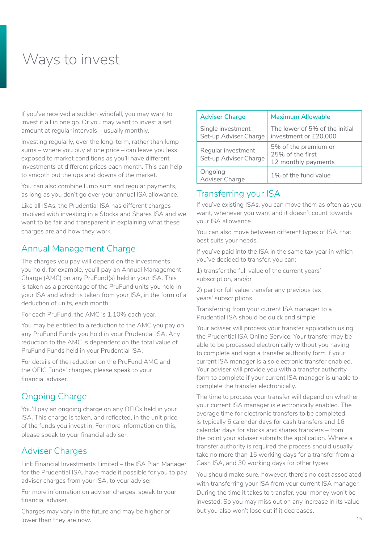# <span id="page-14-0"></span>Ways to invest

If you've received a sudden windfall, you may want to invest it all in one go. Or you may want to invest a set amount at regular intervals – usually monthly.

Investing regularly, over the long-term, rather than lump sums – where you buy at one price – can leave you less exposed to market conditions as you'll have different investments at different prices each month. This can help to smooth out the ups and downs of the market.

You can also combine lump sum and regular payments, as long as you don't go over your annual ISA allowance.

Like all ISAs, the Prudential ISA has different charges involved with investing in a Stocks and Shares ISA and we want to be fair and transparent in explaining what these charges are and how they work.

## Annual Management Charge

The charges you pay will depend on the investments you hold, for example, you'll pay an Annual Management Charge (AMC) on any PruFund(s) held in your ISA. This is taken as a percentage of the PruFund units you hold in your ISA and which is taken from your ISA, in the form of a deduction of units, each month.

For each PruFund, the AMC is 1.10% each year.

You may be entitled to a reduction to the AMC you pay on any PruFund Funds you hold in your Prudential ISA. Any reduction to the AMC is dependent on the total value of PruFund Funds held in your Prudential ISA.

For details of the reduction on the PruFund AMC and the OEIC Funds' charges, please speak to your financial adviser.

## Ongoing Charge

You'll pay an ongoing charge on any OEICs held in your ISA. This charge is taken, and reflected, in the unit price of the funds you invest in. For more information on this, please speak to your financial adviser.

#### Adviser Charges

Link Financial Investments Limited – the ISA Plan Manager for the Prudential ISA, have made it possible for you to pay adviser charges from your ISA, to your adviser.

For more information on adviser charges, speak to your financial adviser.

Charges may vary in the future and may be higher or lower than they are now.

| <b>Adviser Charge</b>                       | <b>Maximum Allowable</b>                                        |
|---------------------------------------------|-----------------------------------------------------------------|
| Single investment<br>Set-up Adviser Charge  | The lower of 5% of the initial<br>investment or £20,000         |
| Regular investment<br>Set-up Adviser Charge | 5% of the premium or<br>25% of the first<br>12 monthly payments |
| Ongoing<br>Adviser Charge                   | 1% of the fund value                                            |

## Transferring your ISA

If you've existing ISAs, you can move them as often as you want, whenever you want and it doesn't count towards your ISA allowance.

You can also move between different types of ISA, that best suits your needs.

If you've paid into the ISA in the same tax year in which you've decided to transfer, you can;

1) transfer the full value of the current years' subscription, and/or

2) part or full value transfer any previous tax years' subscriptions.

Transferring from your current ISA manager to a Prudential ISA should be quick and simple.

Your adviser will process your transfer application using the Prudential ISA Online Service. Your transfer may be able to be processed electronically without you having to complete and sign a transfer authority form if your current ISA manager is also electronic transfer enabled. Your adviser will provide you with a transfer authority form to complete if your current ISA manager is unable to complete the transfer electronically.

The time to process your transfer will depend on whether your current ISA manager is electronically enabled. The average time for electronic transfers to be completed is typically 6 calendar days for cash transfers and 16 calendar days for stocks and shares transfers – from the point your adviser submits the application. Where a transfer authority is required the process should usually take no more than 15 working days for a transfer from a Cash ISA, and 30 working days for other types.

You should make sure, however, there's no cost associated with transferring your ISA from your current ISA manager. During the time it takes to transfer, your money won't be invested. So you may miss out on any increase in its value but you also won't lose out if it decreases.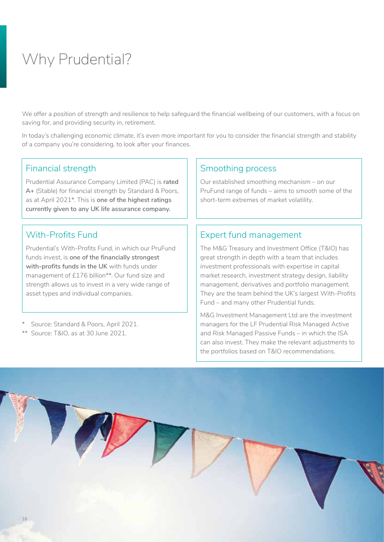# <span id="page-15-0"></span>Why Prudential?

We offer a position of strength and resilience to help safeguard the financial wellbeing of our customers, with a focus on saving for, and providing security in, retirement.

In today's challenging economic climate, it's even more important for you to consider the financial strength and stability of a company you're considering, to look after your finances.

#### Financial strength

Prudential Assurance Company Limited (PAC) is **rated A+** (Stable) for financial strength by Standard & Poors, as at April 2021\*. This is **one of the highest ratings currently given to any UK life assurance company.**

### With-Profits Fund

Prudential's With-Profits Fund, in which our PruFund funds invest, is **one of the financially strongest with-profits funds in the UK** with funds under management of £176 billion\*\*. Our fund size and strength allows us to invest in a very wide range of asset types and individual companies.

- \* Source: Standard & Poors, April 2021.
- \*\* Source: T&IO, as at 30 June 2021.

#### Smoothing process

Our established smoothing mechanism – on our PruFund range of funds – aims to smooth some of the short-term extremes of market volatility.

## Expert fund management

The M&G Treasury and Investment Office (T&IO) has great strength in depth with a team that includes investment professionals with expertise in capital market research, investment strategy design, liability management, derivatives and portfolio management. They are the team behind the UK's largest With-Profits Fund – and many other Prudential funds.

M&G Investment Management Ltd are the investment managers for the LF Prudential Risk Managed Active and Risk Managed Passive Funds – in which the ISA can also invest. They make the relevant adjustments to the portfolios based on T&IO recommendations.

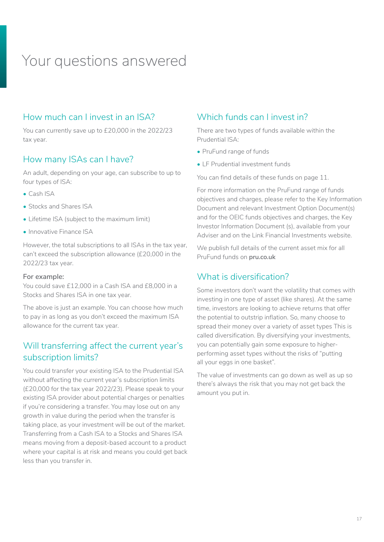# <span id="page-16-0"></span>Your questions answered

#### How much can I invest in an ISA?

You can currently save up to £20,000 in the 2022/23 tax year.

#### How many ISAs can I have?

An adult, depending on your age, can subscribe to up to four types of ISA:

- Cash ISA
- Stocks and Shares ISA
- Lifetime ISA (subject to the maximum limit)
- Innovative Finance ISA

However, the total subscriptions to all ISAs in the tax year, can't exceed the subscription allowance (£20,000 in the 2022/23 tax year.

#### **For example:**

You could save £12,000 in a Cash ISA and £8,000 in a Stocks and Shares ISA in one tax year.

The above is just an example. You can choose how much to pay in as long as you don't exceed the maximum ISA allowance for the current tax year.

## Will transferring affect the current year's subscription limits?

You could transfer your existing ISA to the Prudential ISA without affecting the current year's subscription limits (£20,000 for the tax year 2022/23). Please speak to your existing ISA provider about potential charges or penalties if you're considering a transfer. You may lose out on any growth in value during the period when the transfer is taking place, as your investment will be out of the market. Transferring from a Cash ISA to a Stocks and Shares ISA means moving from a deposit-based account to a product where your capital is at risk and means you could get back less than you transfer in.

## Which funds can I invest in?

There are two types of funds available within the Prudential ISA:

- PruFund range of funds
- LF Prudential investment funds

You can find details of these funds on page 11.

For more information on the PruFund range of funds objectives and charges, please refer to the Key Information Document and relevant Investment Option Document(s) and for the OEIC funds objectives and charges, the Key Investor Information Document (s), available from your Adviser and on the Link Financial Investments website.

We publish full details of the current asset mix for all PruFund funds on **[pru.co.uk](http://www.pru.co.uk)**

## What is diversification?

Some investors don't want the volatility that comes with investing in one type of asset (like shares). At the same time, investors are looking to achieve returns that offer the potential to outstrip inflation. So, many choose to spread their money over a variety of asset types This is called diversification. By diversifying your investments, you can potentially gain some exposure to higherperforming asset types without the risks of "putting all your eggs in one basket".

The value of investments can go down as well as up so there's always the risk that you may not get back the amount you put in.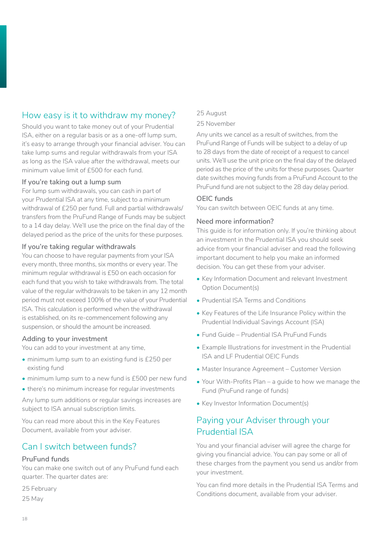## How easy is it to withdraw my money?

Should you want to take money out of your Prudential ISA, either on a regular basis or as a one-off lump sum, it's easy to arrange through your financial adviser. You can take lump sums and regular withdrawals from your ISA as long as the ISA value after the withdrawal, meets our minimum value limit of £500 for each fund.

#### **If you're taking out a lump sum**

For lump sum withdrawals, you can cash in part of your Prudential ISA at any time, subject to a minimum withdrawal of £250 per fund. Full and partial withdrawals/ transfers from the PruFund Range of Funds may be subject to a 14 day delay. We'll use the price on the final day of the delayed period as the price of the units for these purposes.

#### **If you're taking regular withdrawals**

You can choose to have regular payments from your ISA every month, three months, six months or every year. The minimum regular withdrawal is £50 on each occasion for each fund that you wish to take withdrawals from. The total value of the regular withdrawals to be taken in any 12 month period must not exceed 100% of the value of your Prudential ISA. This calculation is performed when the withdrawal is established, on its re-commencement following any suspension, or should the amount be increased.

#### **Adding to your investment**

You can add to your investment at any time,

- minimum lump sum to an existing fund is £250 per existing fund
- minimum lump sum to a new fund is £500 per new fund
- there's no minimum increase for regular investments

Any lump sum additions or regular savings increases are subject to ISA annual subscription limits.

You can read more about this in the Key Features Document, available from your adviser.

## Can I switch between funds?

#### **PruFund funds**

You can make one switch out of any PruFund fund each quarter. The quarter dates are:

25 February 25 May

#### 25 August

#### 25 November

Any units we cancel as a result of switches, from the PruFund Range of Funds will be subject to a delay of up to 28 days from the date of receipt of a request to cancel units. We'll use the unit price on the final day of the delayed period as the price of the units for these purposes. Quarter date switches moving funds from a PruFund Account to the PruFund fund are not subject to the 28 day delay period.

#### **OEIC funds**

You can switch between OEIC funds at any time.

#### **Need more information?**

This guide is for information only. If you're thinking about an investment in the Prudential ISA you should seek advice from your financial adviser and read the following important document to help you make an informed decision. You can get these from your adviser.

- Key Information Document and relevant Investment Option Document(s)
- Prudential ISA Terms and Conditions
- Key Features of the Life Insurance Policy within the Prudential Individual Savings Account (ISA)
- Fund Guide Prudential ISA PruFund Funds
- Example Illustrations for investment in the Prudential ISA and LF Prudential OEIC Funds
- Master Insurance Agreement Customer Version
- Your With-Profits Plan a guide to how we manage the Fund (PruFund range of funds)
- Key Investor Information Document(s)

## Paying your Adviser through your Prudential ISA

You and your financial adviser will agree the charge for giving you financial advice. You can pay some or all of these charges from the payment you send us and/or from your investment.

You can find more details in the Prudential ISA Terms and Conditions document, available from your adviser.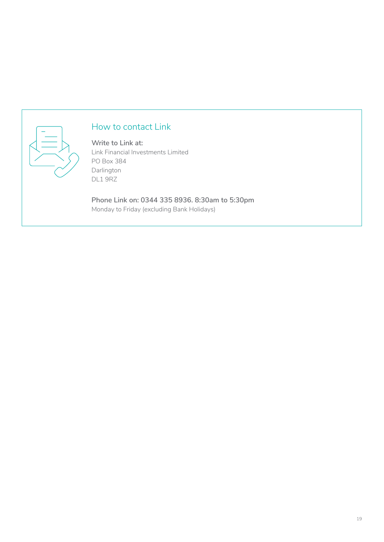

## How to contact Link

**Write to Link at:** Link Financial Investments Limited PO Box 384 Darlington DL1 9RZ

**Phone Link on: 0344 335 8936. 8:30am to 5:30pm** Monday to Friday (excluding Bank Holidays)